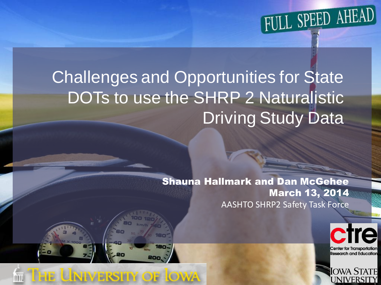

#### Challenges and Opportunities for State DOTs to use the SHRP 2 Naturalistic Driving Study Data

THE LININ/ERSITY OF LOWA

Shauna Hallmark and Dan McGehee March 13, 2014 AASHTO SHRP2 Safety Task Force



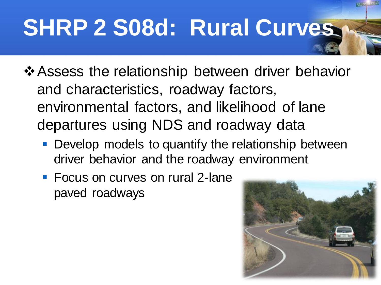# **SHRP 2 S08d: Rural Curves**

- ❖Assess the relationship between driver behavior and characteristics, roadway factors, environmental factors, and likelihood of lane departures using NDS and roadway data
	- **Develop models to quantify the relationship between** driver behavior and the roadway environment
	- Focus on curves on rural 2-lane paved roadways

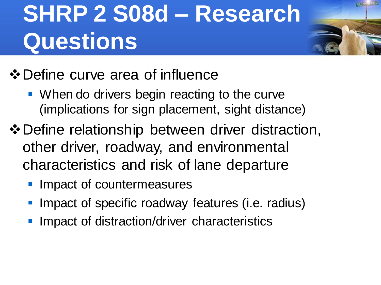## **SHRP 2 S08d – Research Questions**



- ❖Define curve area of influence
	- When do drivers begin reacting to the curve (implications for sign placement, sight distance)
- ❖Define relationship between driver distraction, other driver, roadway, and environmental characteristics and risk of lane departure
	- **Impact of countermeasures**
	- Impact of specific roadway features (i.e. radius)
	- **Impact of distraction/driver characteristics**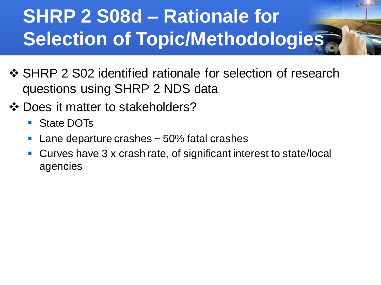- ❖ SHRP 2 S02 identified rationale for selection of research questions using SHRP 2 NDS data
- ❖ Does it matter to stakeholders?
	- State DOTs
	- $\blacksquare$  Lane departure crashes  $\sim$  50% fatal crashes
	- Curves have 3 x crash rate, of significant interest to state/local agencies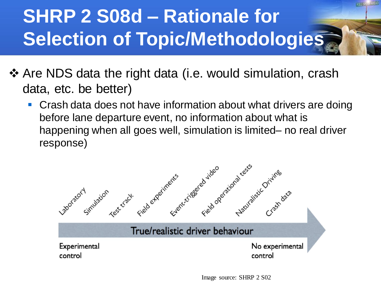- ❖ Are NDS data the right data (i.e. would simulation, crash data, etc. be better)
	- Crash data does not have information about what drivers are doing before lane departure event, no information about what is happening when all goes well, simulation is limited– no real driver response)

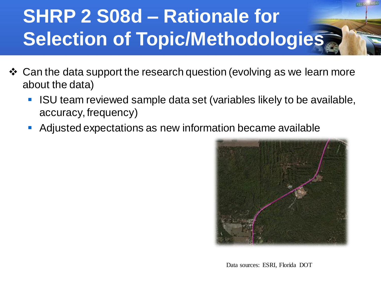- ❖ Can the data support the research question (evolving as we learn more about the data)
	- ISU team reviewed sample data set (variables likely to be available, accuracy, frequency)
	- Adjusted expectations as new information became available



Data sources: ESRI, Florida DOT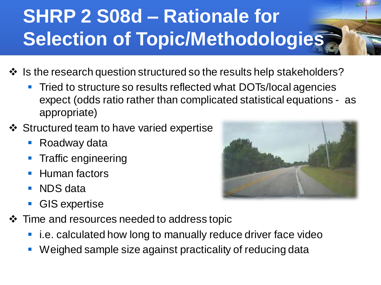- ❖ Is the research question structured so the results help stakeholders?
	- **Tried to structure so results reflected what DOTs/local agencies** expect (odds ratio rather than complicated statistical equations - as appropriate)
- ❖ Structured team to have varied expertise
	- Roadway data
	- **Traffic engineering**
	- Human factors
	- NDS data
	- GIS expertise
- ❖ Time and resources needed to address topic
	- i.e. calculated how long to manually reduce driver face video
	- Weighed sample size against practicality of reducing data

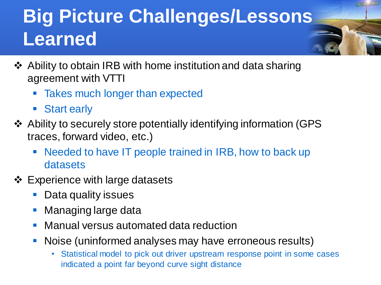#### **Big Picture Challenges/Lessons Learned**

- ❖ Ability to obtain IRB with home institution and data sharing agreement with VTTI
	- **EXEL Takes much longer than expected**
	- Start early
- ❖ Ability to securely store potentially identifying information (GPS traces, forward video, etc.)
	- Needed to have IT people trained in IRB, how to back up datasets
- ❖ Experience with large datasets
	- Data quality issues
	- Managing large data
	- Manual versus automated data reduction
	- **Noise (uninformed analyses may have erroneous results)** 
		- Statistical model to pick out driver upstream response point in some cases indicated a point far beyond curve sight distance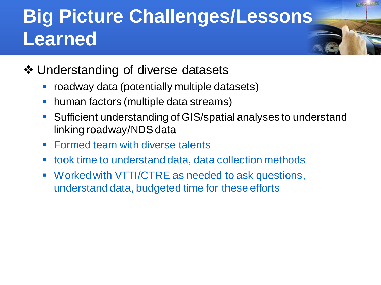#### **Big Picture Challenges/Lessons Learned**

- ❖ Understanding of diverse datasets
	- roadway data (potentially multiple datasets)
	- human factors (multiple data streams)
	- Sufficient understanding of GIS/spatial analyses to understand linking roadway/NDS data
	- Formed team with diverse talents
	- took time to understand data, data collection methods
	- Worked with VTTI/CTRE as needed to ask questions, understand data, budgeted time for these efforts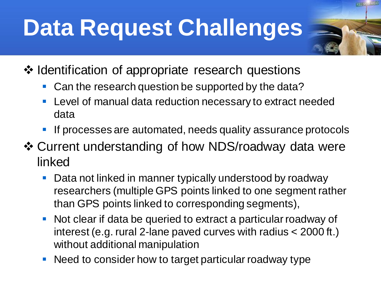## **Data Request Challenges**

- ❖ Identification of appropriate research questions
	- Can the research question be supported by the data?
	- **EXECTE:** Level of manual data reduction necessary to extract needed data
	- **If processes are automated, needs quality assurance protocols**
- ❖ Current understanding of how NDS/roadway data were linked
	- Data not linked in manner typically understood by roadway researchers (multiple GPS points linked to one segment rather than GPS points linked to corresponding segments),
	- Not clear if data be queried to extract a particular roadway of interest (e.g. rural 2-lane paved curves with radius < 2000 ft.) without additional manipulation
	- Need to consider how to target particular roadway type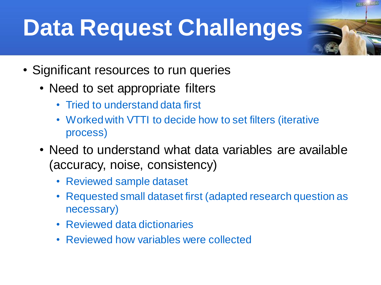## **Data Request Challenges**

- Significant resources to run queries
	- Need to set appropriate filters
		- Tried to understand data first
		- Worked with VTTI to decide how to set filters (iterative process)
	- Need to understand what data variables are available (accuracy, noise, consistency)
		- Reviewed sample dataset
		- Requested small dataset first (adapted research question as necessary)
		- Reviewed data dictionaries
		- Reviewed how variables were collected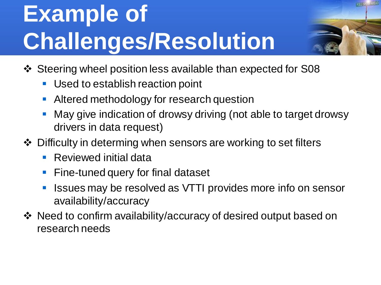## **Example of Challenges/Resolution**



- ❖ Steering wheel position less available than expected for S08
	- Used to establish reaction point
	- **E** Altered methodology for research question
	- May give indication of drowsy driving (not able to target drowsy drivers in data request)
- ❖ Difficulty in determing when sensors are working to set filters
	- Reviewed initial data
	- Fine-tuned query for final dataset
	- **EXTERN** ISSUES may be resolved as VTTI provides more info on sensor availability/accuracy
- ❖ Need to confirm availability/accuracy of desired output based on research needs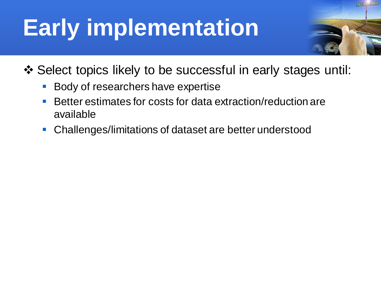## **Early implementation**



- ❖ Select topics likely to be successful in early stages until:
	- Body of researchers have expertise
	- Better estimates for costs for data extraction/reduction are available
	- Challenges/limitations of dataset are better understood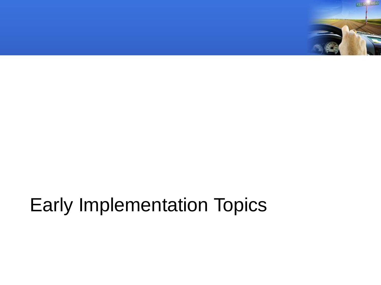

#### Early Implementation Topics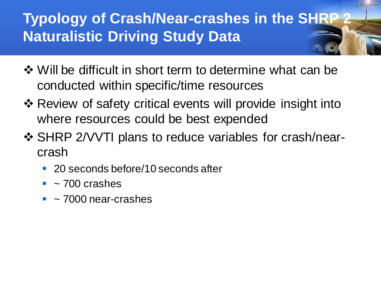#### **Typology of Crash/Near-crashes in the SHRP 2 Naturalistic Driving Study Data**

- ❖ Will be difficult in short term to determine what can be conducted within specific/time resources
- ❖ Review of safety critical events will provide insight into where resources could be best expended
- ❖ SHRP 2/VVTI plans to reduce variables for crash/nearcrash
	- 20 seconds before/10 seconds after
	- $\blacksquare$  ~ 700 crashes
	- $\blacksquare$  ~ 7000 near-crashes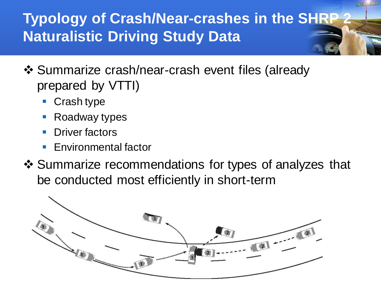#### **Typology of Crash/Near-crashes in the SHRP Naturalistic Driving Study Data**

- ❖ Summarize crash/near-crash event files (already prepared by VTTI)
	- Crash type
	- **Roadway types**
	- **Driver factors**
	- **Environmental factor**
- ❖ Summarize recommendations for types of analyzes that be conducted most efficiently in short-term

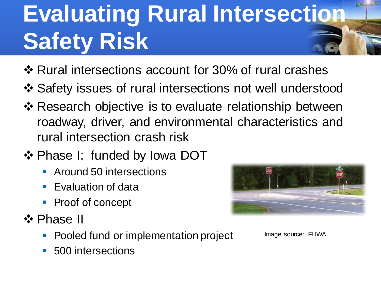## **Evaluating Rural Intersection Safety Risk**

- ❖ Rural intersections account for 30% of rural crashes
- ❖ Safety issues of rural intersections not well understood
- ❖ Research objective is to evaluate relationship between roadway, driver, and environmental characteristics and rural intersection crash risk
- ❖ Phase I: funded by Iowa DOT
	- Around 50 intersections
	- Evaluation of data
	- **Proof of concept**
- ❖ Phase II
	- Pooled fund or implementation project
	- 500 intersections



Image source: FHWA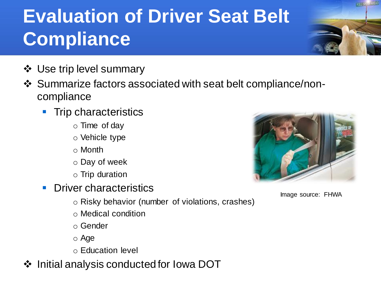#### **Evaluation of Driver Seat Belt Compliance**

- ❖ Use trip level summary
- ❖ Summarize factors associated with seat belt compliance/noncompliance
	- **Trip characteristics** 
		- o Time of day
		- o Vehicle type
		- o Month
		- o Day of week
		- o Trip duration
	- **Driver characteristics** 
		- o Risky behavior (number of violations, crashes)
		- o Medical condition
		- o Gender
		- o Age
		- o Education level
- ❖ Initial analysis conducted for Iowa DOT



Image source: FHWA